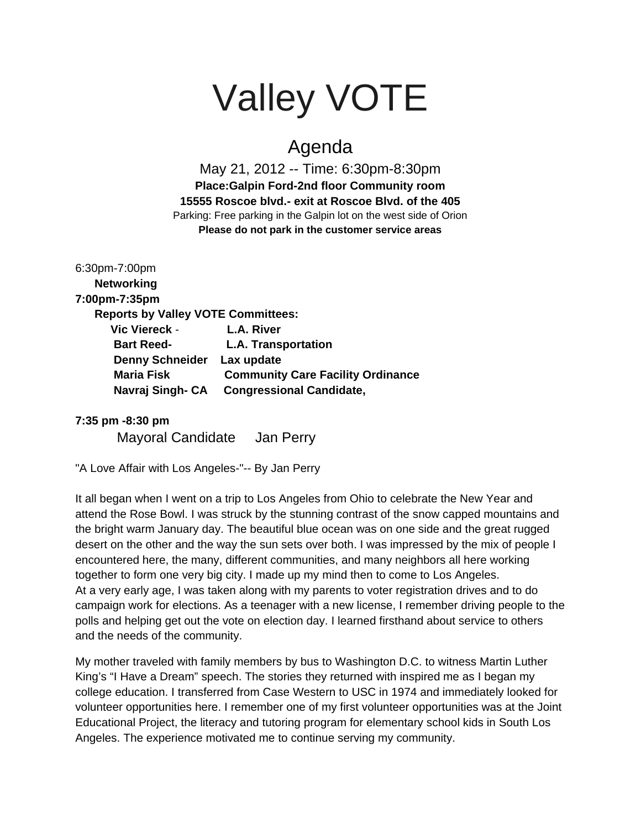# Valley VOTE

# Agenda

May 21, 2012 -- Time: 6:30pm-8:30pm **Place:Galpin Ford-2nd floor Community room 15555 Roscoe blvd.- exit at Roscoe Blvd. of the 405** Parking: Free parking in the Galpin lot on the west side of Orion **Please do not park in the customer service areas**

6:30pm-7:00pm **Networking 7:00pm-7:35pm Reports by Valley VOTE Committees: Vic Viereck** - **L.A. River Bart Reed- L.A. Transportation Denny Schneider Lax update Maria Fisk Community Care Facility Ordinance Navraj Singh- CA Congressional Candidate,**

### **7:35 pm -8:30 pm**

Mayoral Candidate Jan Perry

"A Love Affair with Los Angeles-"-- By Jan Perry

It all began when I went on a trip to Los Angeles from Ohio to celebrate the New Year and attend the Rose Bowl. I was struck by the stunning contrast of the snow capped mountains and the bright warm January day. The beautiful blue ocean was on one side and the great rugged desert on the other and the way the sun sets over both. I was impressed by the mix of people I encountered here, the many, different communities, and many neighbors all here working together to form one very big city. I made up my mind then to come to Los Angeles. At a very early age, I was taken along with my parents to voter registration drives and to do campaign work for elections. As a teenager with a new license, I remember driving people to the polls and helping get out the vote on election day. I learned firsthand about service to others and the needs of the community.

My mother traveled with family members by bus to Washington D.C. to witness Martin Luther King's "I Have a Dream" speech. The stories they returned with inspired me as I began my college education. I transferred from Case Western to USC in 1974 and immediately looked for volunteer opportunities here. I remember one of my first volunteer opportunities was at the Joint Educational Project, the literacy and tutoring program for elementary school kids in South Los Angeles. The experience motivated me to continue serving my community.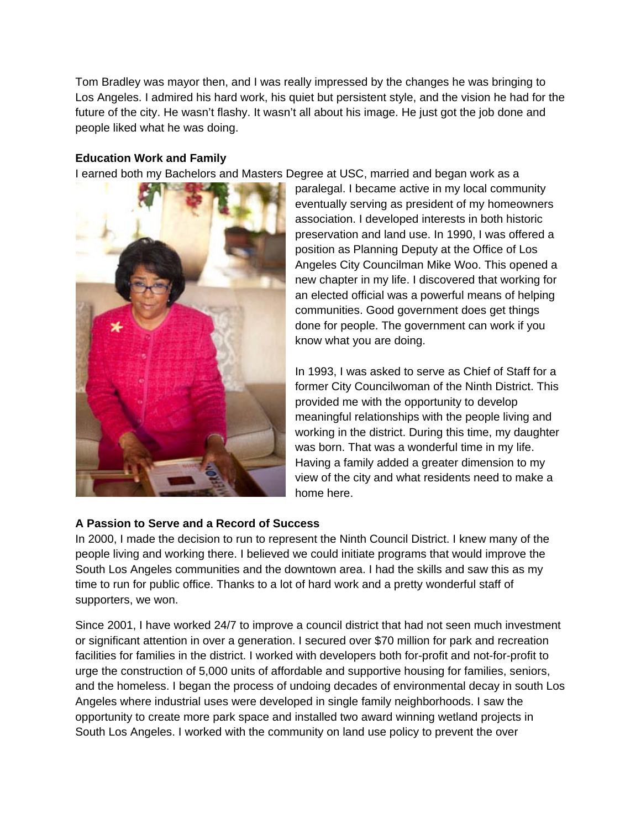Tom Bradley was mayor then, and I was really impressed by the changes he was bringing to Los Angeles. I admired his hard work, his quiet but persistent style, and the vision he had for the future of the city. He wasn't flashy. It wasn't all about his image. He just got the job done and people liked what he was doing.

### **Education Work and Family**

I earned both my Bachelors and Masters Degree at USC, married and began work as a



paralegal. I became active in my local community eventually serving as president of my homeowners association. I developed interests in both historic preservation and land use. In 1990, I was offered a position as Planning Deputy at the Office of Los Angeles City Councilman Mike Woo. This opened a new chapter in my life. I discovered that working for an elected official was a powerful means of helping communities. Good government does get things done for people. The government can work if you know what you are doing.

In 1993, I was asked to serve as Chief of Staff for a former City Councilwoman of the Ninth District. This provided me with the opportunity to develop meaningful relationships with the people living and working in the district. During this time, my daughter was born. That was a wonderful time in my life. Having a family added a greater dimension to my view of the city and what residents need to make a home here.

## **A Passion to Serve and a Record of Success**

In 2000, I made the decision to run to represent the Ninth Council District. I knew many of the people living and working there. I believed we could initiate programs that would improve the South Los Angeles communities and the downtown area. I had the skills and saw this as my time to run for public office. Thanks to a lot of hard work and a pretty wonderful staff of supporters, we won.

Since 2001, I have worked 24/7 to improve a council district that had not seen much investment or significant attention in over a generation. I secured over \$70 million for park and recreation facilities for families in the district. I worked with developers both for-profit and not-for-profit to urge the construction of 5,000 units of affordable and supportive housing for families, seniors, and the homeless. I began the process of undoing decades of environmental decay in south Los Angeles where industrial uses were developed in single family neighborhoods. I saw the opportunity to create more park space and installed two award winning wetland projects in South Los Angeles. I worked with the community on land use policy to prevent the over